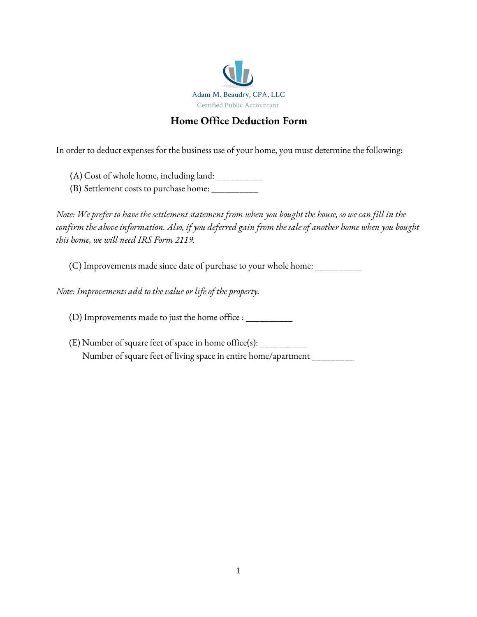

## **Home Office Deduction Form**

In order to deduct expenses for the business use of your home, you must determine the following:

- (A) Cost of whole home, including land: \_\_\_\_\_\_\_\_\_\_
- (B) Settlement costs to purchase home: \_\_\_\_\_\_\_\_\_\_

Note: We prefer to have the settlement statement from when you bought the house, so we can fill in the confirm the above information. Also, if you deferred gain from the sale of another home when you bought *this home, we will need IRS Form 2119.*

(C) Improvements made since date of purchase to your whole home: \_\_\_\_\_\_\_\_\_\_

*Note: Improvements add to the value or life of the property.*

(D) Improvements made to just the home office : \_\_\_\_\_\_\_\_\_\_

(E) Number of square feet of space in home office(s): \_\_\_\_\_\_\_\_\_\_ Number of square feet of living space in entire home/apartment \_\_\_\_\_\_\_\_\_